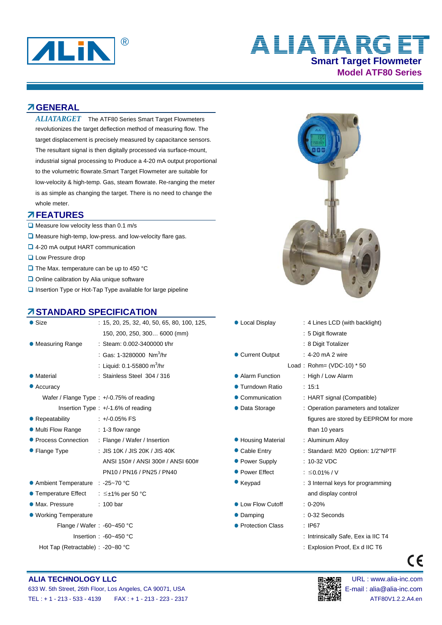

# **Smart Target Flowmeter Model ATF80 Series ALIATARGET**

### **GENERAL**

ALIATARGET The ATF80 Series Smart Target Flowmeters revolutionizes the target deflection method of measuring flow. The target displacement is precisely measured by capacitance sensors. The resultant signal is then digitally processed via surface-mount, industrial signal processing to Produce a 4-20 mA output proportional to the volumetric flowrate.Smart Target Flowmeter are suitable for low-velocity & high-temp. Gas, steam flowrate. Re-ranging the meter is as simple as changing the target. There is no need to change the whole meter.

#### **FEATURES**

- $\Box$  Measure low velocity less than 0.1 m/s
- $\Box$  Measure high-temp, low-press. and low-velocity flare gas.
- 4-20 mA output HART communication
- **Low Pressure drop**
- $\Box$  The Max. temperature can be up to 450 °C
- **O** Online calibration by Alia unique software
- $\square$  Insertion Type or Hot-Tap Type available for large pipeline

### **STANDARD SPECIFICATION**

| $\bullet$ Size                    | $: 15, 20, 25, 32, 40, 50, 65, 80, 100, 125,$ | • Local Display           | : 4 Lines LCD (with backlight)      |
|-----------------------------------|-----------------------------------------------|---------------------------|-------------------------------------|
|                                   | 150, 200, 250, 300 6000 (mm)                  |                           | : 5 Digit flowrate                  |
| • Measuring Range                 | : Steam: 0.002-3400000 t/hr                   |                           | : 8 Digit Totalizer                 |
|                                   | : Gas: 1-3280000 Nm <sup>3</sup> /hr          | • Current Output          | $: 4-20$ mA 2 wire                  |
|                                   | : Liquid: 0.1-55800 m <sup>3</sup> /hr        |                           | Load: Rohm= (VDC-10) * 50           |
| • Material                        | : Stainless Steel 304 / 316                   | • Alarm Function          | : High / Low Alarm                  |
| • Accuracy                        |                                               | ● Turndown Ratio          | : 15:1                              |
|                                   | Wafer / Flange Type: +/-0.75% of reading      | • Communication           | : HART signal (Compatible)          |
|                                   | Insertion Type : $+/-1.6\%$ of reading        | • Data Storage            | : Operation parameters and totalize |
| • Repeatability                   | $+/-0.05%$ FS                                 |                           | figures are stored by EEPROM fo     |
| • Multi Flow Range                | $: 1-3$ flow range                            |                           | than 10 years                       |
| • Process Connection              | : Flange / Wafer / Insertion                  | <b>• Housing Material</b> | : Aluminum Alloy                    |
| • Flange Type                     | : JIS 10K / JIS 20K / JIS 40K                 | Cable Entry               | : Standard: M20 Option: 1/2"NPTF    |
|                                   | ANSI 150# / ANSI 300# / ANSI 600#             | • Power Supply            | : 10-32 VDC                         |
|                                   | PN10 / PN16 / PN25 / PN40                     | • Power Effect            | $:$ $\leq$ 0.01% / V                |
| ● Ambient Temperature : -25~70 °C |                                               | $\bullet$ Keypad          | : 3 Internal keys for programming   |
| ● Temperature Effect              | : $\leq \pm 1\%$ per 50 °C                    |                           | and display control                 |
| • Max. Pressure                   | : 100 bar                                     | • Low Flow Cutoff         | $: 0 - 20%$                         |
| <b>• Working Temperature</b>      |                                               | • Damping                 | $: 0-32$ Seconds                    |
|                                   | Flange / Wafer: -60~450 °C                    | • Protection Class        | : IP67                              |
|                                   | Insertion: -60~450 °C                         |                           | : Intrinsically Safe, Eex ia IIC T4 |
| Hot Tap (Retractable) : -20~80 °C |                                               |                           | : Explosion Proof, Ex d IIC T6      |
|                                   |                                               |                           |                                     |



| Size                            | $: 15, 20, 25, 32, 40, 50, 65, 80, 100, 125,$ | • Local Display    | : 4 Lines LCD (with backlight)        |
|---------------------------------|-----------------------------------------------|--------------------|---------------------------------------|
|                                 | 150, 200, 250, 300 6000 (mm)                  |                    | : 5 Digit flowrate                    |
| Measuring Range                 | : Steam: 0.002-3400000 t/hr                   |                    | : 8 Digit Totalizer                   |
|                                 | : Gas: 1-3280000 Nm <sup>3</sup> /hr          | • Current Output   | : 4-20 mA 2 wire                      |
|                                 | : Liquid: 0.1-55800 m <sup>3</sup> /hr        |                    | Load: $Rohm = (VDC-10) * 50$          |
| Material                        | : Stainless Steel 304 / 316                   | • Alarm Function   | : High / Low Alarm                    |
| Accuracy                        |                                               | ● Turndown Ratio   | : 15:1                                |
|                                 | Wafer / Flange Type: +/-0.75% of reading      | • Communication    | : HART signal (Compatible)            |
|                                 | Insertion Type : $+/-1.6\%$ of reading        | • Data Storage     | : Operation parameters and totalizer  |
| Repeatability                   | $: +/0.05\%$ FS                               |                    | figures are stored by EEPROM for more |
| Multi Flow Range                | $: 1-3$ flow range                            |                    | than 10 years                         |
| Process Connection              | : Flange / Wafer / Insertion                  | • Housing Material | : Aluminum Alloy                      |
| Flange Type                     | : JIS 10K / JIS 20K / JIS 40K                 | • Cable Entry      | : Standard: M20 Option: 1/2"NPTF      |
|                                 | ANSI 150# / ANSI 300# / ANSI 600#             | • Power Supply     | $: 10-32$ VDC                         |
|                                 | PN10 / PN16 / PN25 / PN40                     | • Power Effect     | $:$ $\leq$ 0.01% / V                  |
| Ambient Temperature : -25~70 °C |                                               | $\bullet$ Keypad   | : 3 Internal keys for programming     |
| Temperature Effect              | $\therefore$ ≤±1% per 50 °C                   |                    | and display control                   |
| Max. Pressure                   | : 100 bar                                     | • Low Flow Cutoff  | $: 0 - 20%$                           |
| <b>Working Temperature</b>      |                                               | • Damping          | $: 0-32$ Seconds                      |
| Flange / Wafer $: 60-450$ °C    |                                               | • Protection Class | $:$ IP67                              |
|                                 | Insertion: -60~450 °C                         |                    | : Intrinsically Safe, Eex ia IIC T4   |
|                                 |                                               |                    |                                       |

#### **ALIA TECHNOLOGY LLC Example 20 and the community of the community of the community of the community of the community of the community of the community of the community of the community of the community of the community**





 $\epsilon$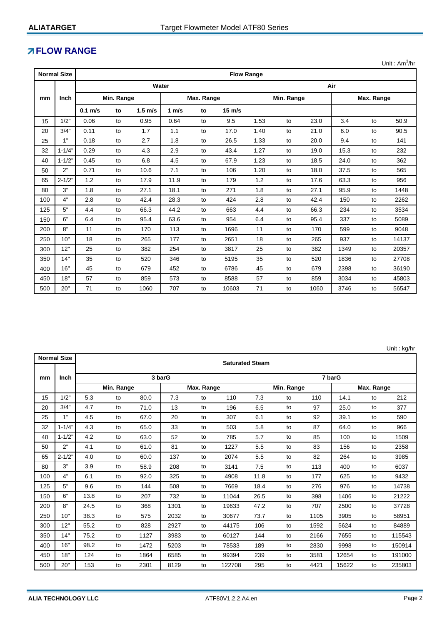# **FLOW RANGE**

|     |                    |           |            |           |         |                   |                  |      |            |      |            |    | Unit: $Am3/hr$ |  |  |
|-----|--------------------|-----------|------------|-----------|---------|-------------------|------------------|------|------------|------|------------|----|----------------|--|--|
|     | <b>Normal Size</b> |           |            |           |         | <b>Flow Range</b> |                  |      |            |      |            |    |                |  |  |
|     |                    |           |            | Water     |         |                   |                  | Air  |            |      |            |    |                |  |  |
| mm  | Inch               |           | Min. Range |           |         | Max. Range        |                  |      | Min. Range |      | Max. Range |    |                |  |  |
|     |                    | $0.1$ m/s | to         | $1.5$ m/s | 1 $m/s$ | to                | $15 \text{ m/s}$ |      |            |      |            |    |                |  |  |
| 15  | 1/2"               | 0.06      | to         | 0.95      | 0.64    | to                | 9.5              | 1.53 | to         | 23.0 | 3.4        | to | 50.9           |  |  |
| 20  | 3/4"               | 0.11      | to         | 1.7       | 1.1     | to                | 17.0             | 1.40 | to         | 21.0 | 6.0        | to | 90.5           |  |  |
| 25  | 1"                 | 0.18      | to         | 2.7       | 1.8     | to                | 26.5             | 1.33 | to         | 20.0 | 9.4        | to | 141            |  |  |
| 32  | $1 - 1/4"$         | 0.29      | to         | 4.3       | 2.9     | to                | 43.4             | 1.27 | to         | 19.0 | 15.3       | to | 232            |  |  |
| 40  | $1 - 1/2"$         | 0.45      | to         | 6.8       | 4.5     | to                | 67.9             | 1.23 | to         | 18.5 | 24.0       | to | 362            |  |  |
| 50  | 2"                 | 0.71      | to         | 10.6      | 7.1     | to                | 106              | 1.20 | to         | 18.0 | 37.5       | to | 565            |  |  |
| 65  | $2 - 1/2"$         | 1.2       | to         | 17.9      | 11.9    | to                | 179              | 1.2  | to         | 17.6 | 63.3       | to | 956            |  |  |
| 80  | 3"                 | 1.8       | to         | 27.1      | 18.1    | to                | 271              | 1.8  | to         | 27.1 | 95.9       | to | 1448           |  |  |
| 100 | 4"                 | 2.8       | to         | 42.4      | 28.3    | to                | 424              | 2.8  | to         | 42.4 | 150        | to | 2262           |  |  |
| 125 | 5"                 | 4.4       | to         | 66.3      | 44.2    | to                | 663              | 4.4  | to         | 66.3 | 234        | to | 3534           |  |  |
| 150 | 6"                 | 6.4       | to         | 95.4      | 63.6    | to                | 954              | 6.4  | to         | 95.4 | 337        | to | 5089           |  |  |
| 200 | 8"                 | 11        | to         | 170       | 113     | to                | 1696             | 11   | to         | 170  | 599        | to | 9048           |  |  |
| 250 | 10"                | 18        | to         | 265       | 177     | to                | 2651             | 18   | to         | 265  | 937        | to | 14137          |  |  |
| 300 | 12"                | 25        | to         | 382       | 254     | to                | 3817             | 25   | to         | 382  | 1349       | to | 20357          |  |  |
| 350 | 14"                | 35        | to         | 520       | 346     | to                | 5195             | 35   | to         | 520  | 1836       | to | 27708          |  |  |
| 400 | 16"                | 45        | to         | 679       | 452     | to                | 6786             | 45   | to         | 679  | 2398       | to | 36190          |  |  |
| 450 | 18"                | 57        | to         | 859       | 573     | to                | 8588             | 57   | to         | 859  | 3034       | to | 45803          |  |  |
| 500 | 20"                | 71        | to         | 1060      | 707     | to                | 10603            | 71   | to         | 1060 | 3746       | to | 56547          |  |  |

Unit : kg/hr

|     | <b>Normal Size</b> | <b>Saturated Steam</b> |    |      |            |    |        |        |            |      |            |    |        |  |  |  |
|-----|--------------------|------------------------|----|------|------------|----|--------|--------|------------|------|------------|----|--------|--|--|--|
| mm  | Inch               |                        |    |      | 3 barG     |    |        | 7 barG |            |      |            |    |        |  |  |  |
|     |                    | Min. Range             |    |      | Max. Range |    |        |        | Min. Range |      | Max. Range |    |        |  |  |  |
| 15  | 1/2"               | 5.3                    | to | 80.0 | 7.3        | to | 110    | 7.3    | to         | 110  | 14.1       | to | 212    |  |  |  |
| 20  | 3/4"               | 4.7                    | to | 71.0 | 13         | to | 196    | 6.5    | to         | 97   | 25.0       | to | 377    |  |  |  |
| 25  | 1"                 | 4.5                    | to | 67.0 | 20         | to | 307    | 6.1    | to         | 92   | 39.1       | to | 590    |  |  |  |
| 32  | $1 - 1/4"$         | 4.3                    | to | 65.0 | 33         | to | 503    | 5.8    | to         | 87   | 64.0       | to | 966    |  |  |  |
| 40  | $1 - 1/2"$         | 4.2                    | to | 63.0 | 52         | to | 785    | 5.7    | to         | 85   | 100        | to | 1509   |  |  |  |
| 50  | 2"                 | 4.1                    | to | 61.0 | 81         | to | 1227   | 5.5    | to         | 83   | 156        | to | 2358   |  |  |  |
| 65  | $2 - 1/2"$         | 4.0                    | to | 60.0 | 137        | to | 2074   | 5.5    | to         | 82   | 264        | to | 3985   |  |  |  |
| 80  | 3"                 | 3.9                    | to | 58.9 | 208        | to | 3141   | 7.5    | to         | 113  | 400        | to | 6037   |  |  |  |
| 100 | 4"                 | 6.1                    | to | 92.0 | 325        | to | 4908   | 11.8   | to         | 177  | 625        | to | 9432   |  |  |  |
| 125 | 5"                 | 9.6                    | to | 144  | 508        | to | 7669   | 18.4   | to         | 276  | 976        | to | 14738  |  |  |  |
| 150 | 6"                 | 13.8                   | to | 207  | 732        | to | 11044  | 26.5   | to         | 398  | 1406       | to | 21222  |  |  |  |
| 200 | 8"                 | 24.5                   | to | 368  | 1301       | to | 19633  | 47.2   | to         | 707  | 2500       | to | 37728  |  |  |  |
| 250 | 10"                | 38.3                   | to | 575  | 2032       | to | 30677  | 73.7   | to         | 1105 | 3905       | to | 58951  |  |  |  |
| 300 | 12"                | 55.2                   | to | 828  | 2927       | to | 44175  | 106    | to         | 1592 | 5624       | to | 84889  |  |  |  |
| 350 | 14"                | 75.2                   | to | 1127 | 3983       | to | 60127  | 144    | to         | 2166 | 7655       | to | 115543 |  |  |  |
| 400 | 16"                | 98.2                   | to | 1472 | 5203       | to | 78533  | 189    | to         | 2830 | 9998       | to | 150914 |  |  |  |
| 450 | 18"                | 124                    | to | 1864 | 6585       | to | 99394  | 239    | to         | 3581 | 12654      | to | 191000 |  |  |  |
| 500 | 20"                | 153                    | to | 2301 | 8129       | to | 122708 | 295    | to         | 4421 | 15622      | to | 235803 |  |  |  |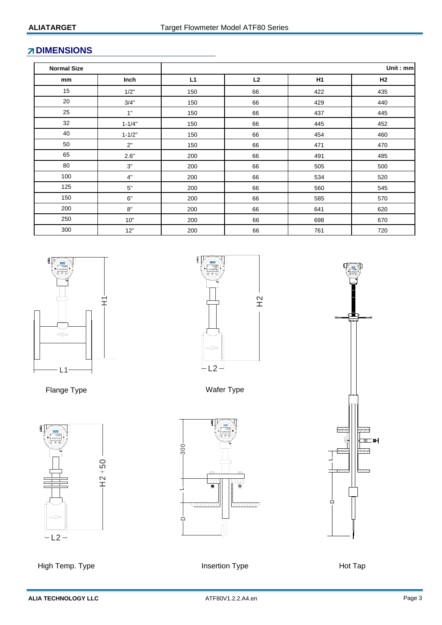## **Z DIMENSIONS**

| <b>Normal Size</b> |            |     |    |                | Unit: mm |
|--------------------|------------|-----|----|----------------|----------|
| mm                 | Inch       | L1  | L2 | H <sub>1</sub> | H2       |
| 15                 | 1/2"       | 150 | 66 | 422            | 435      |
| 20                 | 3/4"       | 150 | 66 | 429            | 440      |
| 25                 | 1"         | 150 | 66 | 437            | 445      |
| 32                 | $1 - 1/4"$ | 150 | 66 | 445            | 452      |
| 40                 | $1 - 1/2"$ | 150 | 66 | 454            | 460      |
| 50                 | 2"         | 150 | 66 | 471            | 470      |
| 65                 | 2.6"       | 200 | 66 | 491            | 485      |
| 80                 | 3"         | 200 | 66 | 505            | 500      |
| 100                | 4"         | 200 | 66 | 534            | 520      |
| 125                | 5"         | 200 | 66 | 560            | 545      |
| 150                | 6"         | 200 | 66 | 585            | 570      |
| 200                | 8"         | 200 | 66 | 641            | 620      |
| 250                | 10"        | 200 | 66 | 698            | 670      |
| 300                | 12"        | 200 | 66 | 761            | 720      |



Flange Type



High Temp. Type **Hot Tap** Insertion Type **Hot Tap** 



Wafer Type





Insertion Type